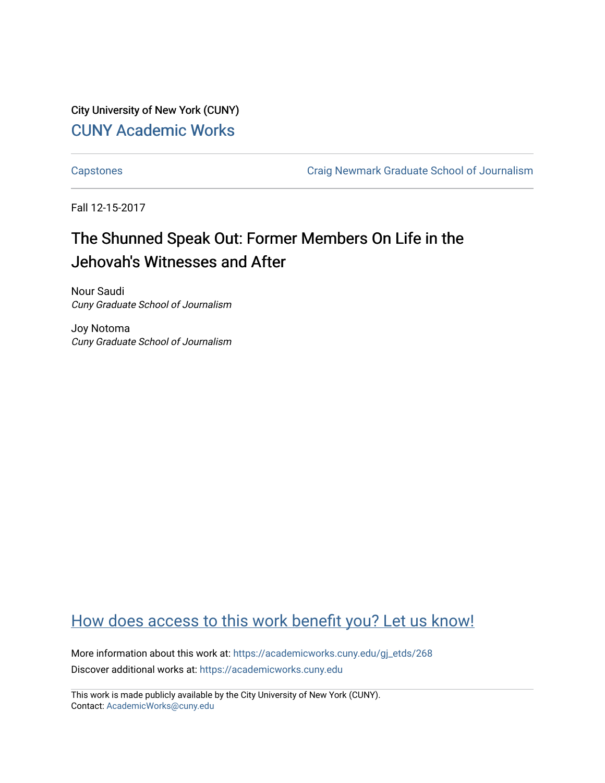City University of New York (CUNY) [CUNY Academic Works](https://academicworks.cuny.edu/) 

[Capstones](https://academicworks.cuny.edu/gj_etds) [Craig Newmark Graduate School of Journalism](https://academicworks.cuny.edu/gj) 

Fall 12-15-2017

# The Shunned Speak Out: Former Members On Life in the Jehovah's Witnesses and After

Nour Saudi Cuny Graduate School of Journalism

Joy Notoma Cuny Graduate School of Journalism

# [How does access to this work benefit you? Let us know!](http://ols.cuny.edu/academicworks/?ref=https://academicworks.cuny.edu/gj_etds/268)

More information about this work at: [https://academicworks.cuny.edu/gj\\_etds/268](https://academicworks.cuny.edu/gj_etds/268)  Discover additional works at: [https://academicworks.cuny.edu](https://academicworks.cuny.edu/?)

This work is made publicly available by the City University of New York (CUNY). Contact: [AcademicWorks@cuny.edu](mailto:AcademicWorks@cuny.edu)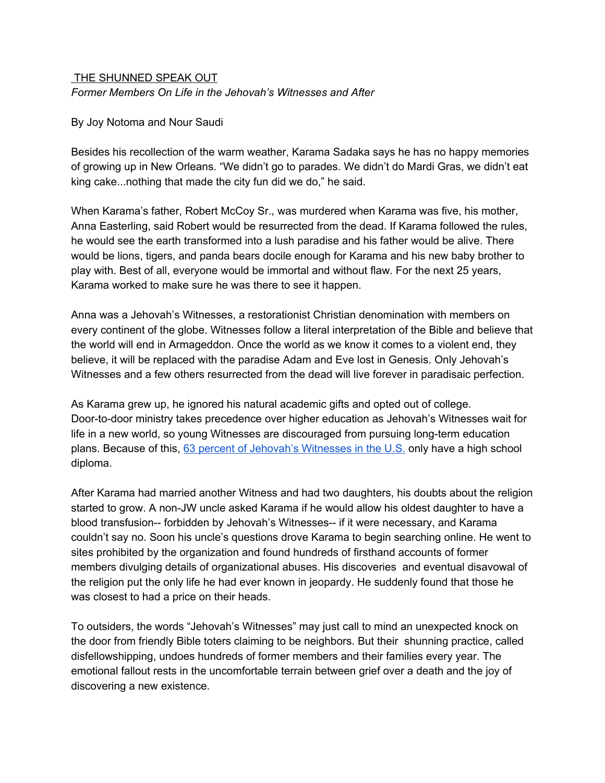#### THE SHUNNED SPEAK OUT *Former Members On Life in the Jehovah's Witnesses and After*

By Joy Notoma and Nour Saudi

Besides his recollection of the warm weather, Karama Sadaka says he has no happy memories of growing up in New Orleans. "We didn't go to parades. We didn't do Mardi Gras, we didn't eat king cake...nothing that made the city fun did we do," he said.

When Karama's father, Robert McCoy Sr., was murdered when Karama was five, his mother, Anna Easterling, said Robert would be resurrected from the dead. If Karama followed the rules, he would see the earth transformed into a lush paradise and his father would be alive. There would be lions, tigers, and panda bears docile enough for Karama and his new baby brother to play with. Best of all, everyone would be immortal and without flaw. For the next 25 years, Karama worked to make sure he was there to see it happen.

Anna was a Jehovah's Witnesses, a restorationist Christian denomination with members on every continent of the globe. Witnesses follow a literal interpretation of the Bible and believe that the world will end in Armageddon. Once the world as we know it comes to a violent end, they believe, it will be replaced with the paradise Adam and Eve lost in Genesis. Only Jehovah's Witnesses and a few others resurrected from the dead will live forever in paradisaic perfection.

As Karama grew up, he ignored his natural academic gifts and opted out of college. Door-to-door ministry takes precedence over higher education as Jehovah's Witnesses wait for life in a new world, so young Witnesses are discouraged from pursuing long-term education plans. Because of this, 63 percent of Jehovah's [Witnesses](http://www.pewresearch.org/fact-tank/2016/04/26/a-closer-look-at-jehovahs-witnesses-living-in-the-u-s/) in the U.S. only have a high school diploma.

After Karama had married another Witness and had two daughters, his doubts about the religion started to grow. A non-JW uncle asked Karama if he would allow his oldest daughter to have a blood transfusion-- forbidden by Jehovah's Witnesses-- if it were necessary, and Karama couldn't say no. Soon his uncle's questions drove Karama to begin searching online. He went to sites prohibited by the organization and found hundreds of firsthand accounts of former members divulging details of organizational abuses. His discoveries and eventual disavowal of the religion put the only life he had ever known in jeopardy. He suddenly found that those he was closest to had a price on their heads.

To outsiders, the words "Jehovah's Witnesses" may just call to mind an unexpected knock on the door from friendly Bible toters claiming to be neighbors. But their shunning practice, called disfellowshipping, undoes hundreds of former members and their families every year. The emotional fallout rests in the uncomfortable terrain between grief over a death and the joy of discovering a new existence.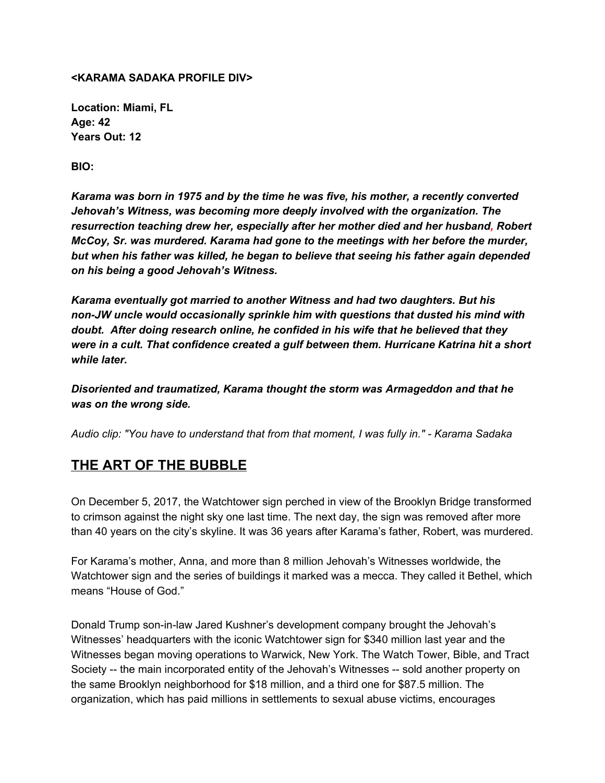#### **<KARAMA SADAKA PROFILE DIV>**

**Location: Miami, FL Age: 42 Years Out: 12**

**BIO:**

*Karama was born in 1975 and by the time he was five, his mother, a recently converted Jehovah's Witness, was becoming more deeply involved with the organization. The resurrection teaching drew her, especially after her mother died and her husband, Robert McCoy, Sr. was murdered. Karama had gone to the meetings with her before the murder, but when his father was killed, he began to believe that seeing his father again depended on his being a good Jehovah's Witness.*

*Karama eventually got married to another Witness and had two daughters. But his non-JW uncle would occasionally sprinkle him with questions that dusted his mind with doubt. After doing research online, he confided in his wife that he believed that they were in a cult. That confidence created a gulf between them. Hurricane Katrina hit a short while later.*

*Disoriented and traumatized, Karama thought the storm was Armageddon and that he was on the wrong side.*

*Audio clip: "You have to understand that from that moment, I was fully in." - Karama Sadaka*

### **THE ART OF THE BUBBLE**

On December 5, 2017, the Watchtower sign perched in view of the Brooklyn Bridge transformed to crimson against the night sky one last time. The next day, the sign was removed after more than 40 years on the city's skyline. It was 36 years after Karama's father, Robert, was murdered.

For Karama's mother, Anna, and more than 8 million Jehovah's Witnesses worldwide, the Watchtower sign and the series of buildings it marked was a mecca. They called it Bethel, which means "House of God."

Donald Trump son-in-law Jared Kushner's development company brought the Jehovah's Witnesses' headquarters with the iconic Watchtower sign for \$340 million last year and the Witnesses began moving operations to Warwick, New York. The Watch Tower, Bible, and Tract Society -- the main incorporated entity of the Jehovah's Witnesses -- sold another property on the same Brooklyn neighborhood for \$18 million, and a third one for \$87.5 million. The organization, which has paid millions in settlements to sexual abuse victims, encourages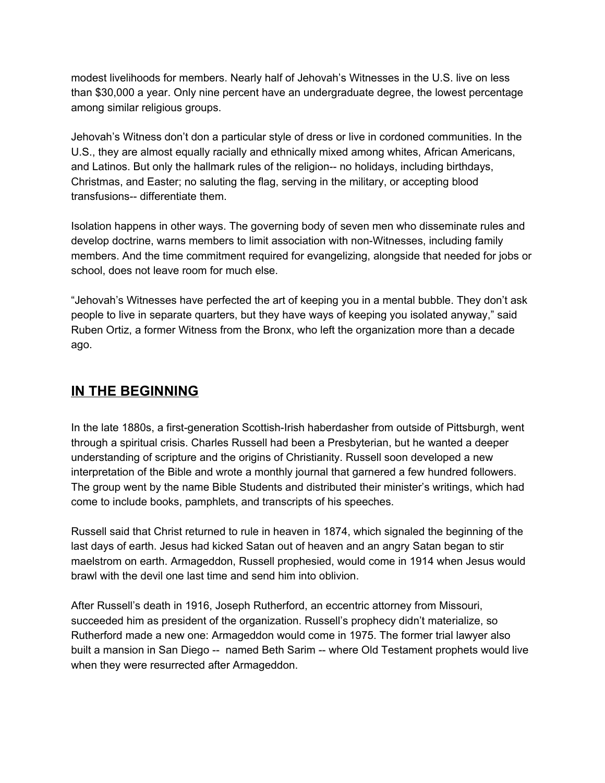modest livelihoods for members. Nearly half of Jehovah's Witnesses in the U.S. live on less than \$30,000 a year. Only nine percent have an undergraduate degree, the lowest percentage among similar religious groups.

Jehovah's Witness don't don a particular style of dress or live in cordoned communities. In the U.S., they are almost equally racially and ethnically mixed among whites, African Americans, and Latinos. But only the hallmark rules of the religion-- no holidays, including birthdays, Christmas, and Easter; no saluting the flag, serving in the military, or accepting blood transfusions-- differentiate them.

Isolation happens in other ways. The governing body of seven men who disseminate rules and develop doctrine, warns members to limit association with non-Witnesses, including family members. And the time commitment required for evangelizing, alongside that needed for jobs or school, does not leave room for much else.

"Jehovah's Witnesses have perfected the art of keeping you in a mental bubble. They don't ask people to live in separate quarters, but they have ways of keeping you isolated anyway," said Ruben Ortiz, a former Witness from the Bronx, who left the organization more than a decade ago.

### **IN THE BEGINNING**

In the late 1880s, a first-generation Scottish-Irish haberdasher from outside of Pittsburgh, went through a spiritual crisis. Charles Russell had been a Presbyterian, but he wanted a deeper understanding of scripture and the origins of Christianity. Russell soon developed a new interpretation of the Bible and wrote a monthly journal that garnered a few hundred followers. The group went by the name Bible Students and distributed their minister's writings, which had come to include books, pamphlets, and transcripts of his speeches.

Russell said that Christ returned to rule in heaven in 1874, which signaled the beginning of the last days of earth. Jesus had kicked Satan out of heaven and an angry Satan began to stir maelstrom on earth. Armageddon, Russell prophesied, would come in 1914 when Jesus would brawl with the devil one last time and send him into oblivion.

After Russell's death in 1916, Joseph Rutherford, an eccentric attorney from Missouri, succeeded him as president of the organization. Russell's prophecy didn't materialize, so Rutherford made a new one: Armageddon would come in 1975. The former trial lawyer also built a mansion in San Diego -- named Beth Sarim -- where Old Testament prophets would live when they were resurrected after Armageddon.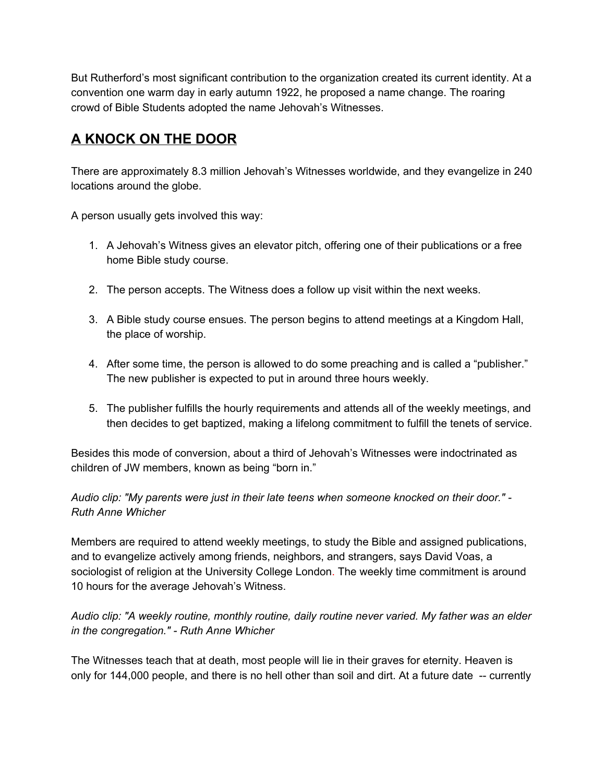But Rutherford's most significant contribution to the organization created its current identity. At a convention one warm day in early autumn 1922, he proposed a name change. The roaring crowd of Bible Students adopted the name Jehovah's Witnesses.

## **A KNOCK ON THE DOOR**

There are approximately 8.3 million Jehovah's Witnesses worldwide, and they evangelize in 240 locations around the globe.

A person usually gets involved this way:

- 1. A Jehovah's Witness gives an elevator pitch, offering one of their publications or a free home Bible study course.
- 2. The person accepts. The Witness does a follow up visit within the next weeks.
- 3. A Bible study course ensues. The person begins to attend meetings at a Kingdom Hall, the place of worship.
- 4. After some time, the person is allowed to do some preaching and is called a "publisher." The new publisher is expected to put in around three hours weekly.
- 5. The publisher fulfills the hourly requirements and attends all of the weekly meetings, and then decides to get baptized, making a lifelong commitment to fulfill the tenets of service.

Besides this mode of conversion, about a third of Jehovah's Witnesses were indoctrinated as children of JW members, known as being "born in."

#### *Audio clip: "My parents were just in their late teens when someone knocked on their door." - Ruth Anne Whicher*

Members are required to attend weekly meetings, to study the Bible and assigned publications, and to evangelize actively among friends, neighbors, and strangers, says David Voas, a sociologist of religion at the University College London. The weekly time commitment is around 10 hours for the average Jehovah's Witness.

#### *Audio clip: "A weekly routine, monthly routine, daily routine never varied. My father was an elder in the congregation." - Ruth Anne Whicher*

The Witnesses teach that at death, most people will lie in their graves for eternity. Heaven is only for 144,000 people, and there is no hell other than soil and dirt. At a future date -- currently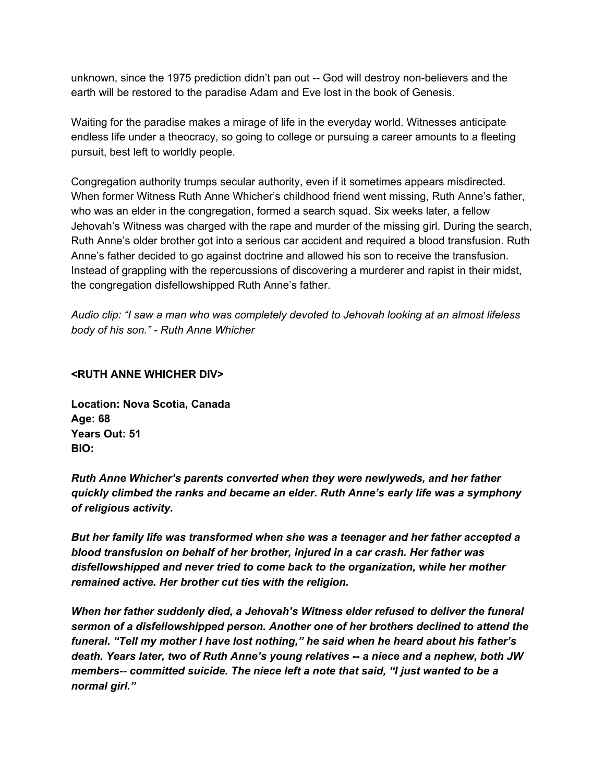unknown, since the 1975 prediction didn't pan out -- God will destroy non-believers and the earth will be restored to the paradise Adam and Eve lost in the book of Genesis.

Waiting for the paradise makes a mirage of life in the everyday world. Witnesses anticipate endless life under a theocracy, so going to college or pursuing a career amounts to a fleeting pursuit, best left to worldly people.

Congregation authority trumps secular authority, even if it sometimes appears misdirected. When former Witness Ruth Anne Whicher's childhood friend went missing, Ruth Anne's father, who was an elder in the congregation, formed a search squad. Six weeks later, a fellow Jehovah's Witness was charged with the rape and murder of the missing girl. During the search, Ruth Anne's older brother got into a serious car accident and required a blood transfusion. Ruth Anne's father decided to go against doctrine and allowed his son to receive the transfusion. Instead of grappling with the repercussions of discovering a murderer and rapist in their midst, the congregation disfellowshipped Ruth Anne's father.

*Audio clip: "I saw a man who was completely devoted to Jehovah looking at an almost lifeless body of his son." - Ruth Anne Whicher*

#### **<RUTH ANNE WHICHER DIV>**

**Location: Nova Scotia, Canada Age: 68 Years Out: 51 BIO:**

*Ruth Anne Whicher's parents converted when they were newlyweds, and her father quickly climbed the ranks and became an elder. Ruth Anne's early life was a symphony of religious activity.*

*But her family life was transformed when she was a teenager and her father accepted a blood transfusion on behalf of her brother, injured in a car crash. Her father was disfellowshipped and never tried to come back to the organization, while her mother remained active. Her brother cut ties with the religion.*

*When her father suddenly died, a Jehovah's Witness elder refused to deliver the funeral sermon of a disfellowshipped person. Another one of her brothers declined to attend the funeral. "Tell my mother I have lost nothing," he said when he heard about his father's death. Years later, two of Ruth Anne's young relatives -- a niece and a nephew, both JW members-- committed suicide. The niece left a note that said, "I just wanted to be a normal girl."*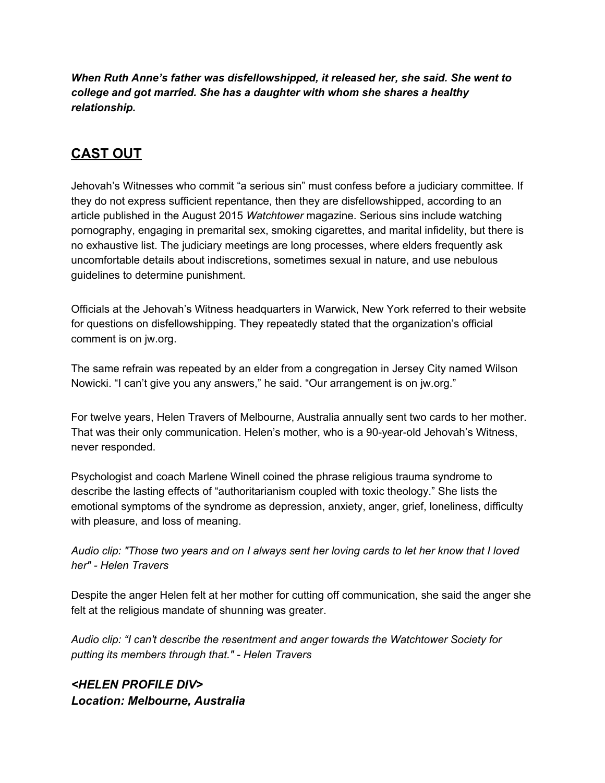*When Ruth Anne's father was disfellowshipped, it released her, she said. She went to college and got married. She has a daughter with whom she shares a healthy relationship.*

# **CAST OUT**

Jehovah's Witnesses who commit "a serious sin" must confess before a judiciary committee. If they do not express sufficient repentance, then they are disfellowshipped, according to an article published in the August 2015 *Watchtower* magazine. Serious sins include watching pornography, engaging in premarital sex, smoking cigarettes, and marital infidelity, but there is no exhaustive list. The judiciary meetings are long processes, where elders frequently ask uncomfortable details about indiscretions, sometimes sexual in nature, and use nebulous guidelines to determine punishment.

Officials at the Jehovah's Witness headquarters in Warwick, New York referred to their website for questions on disfellowshipping. They repeatedly stated that the organization's official comment is on jw.org.

The same refrain was repeated by an elder from a congregation in Jersey City named Wilson Nowicki. "I can't give you any answers," he said. "Our arrangement is on jw.org."

For twelve years, Helen Travers of Melbourne, Australia annually sent two cards to her mother. That was their only communication. Helen's mother, who is a 90-year-old Jehovah's Witness, never responded.

Psychologist and coach Marlene Winell coined the phrase religious trauma syndrome to describe the lasting effects of "authoritarianism coupled with toxic theology." She lists the emotional symptoms of the syndrome as depression, anxiety, anger, grief, loneliness, difficulty with pleasure, and loss of meaning.

Audio clip: "Those two years and on I always sent her loving cards to let her know that I loved *her" - Helen Travers*

Despite the anger Helen felt at her mother for cutting off communication, she said the anger she felt at the religious mandate of shunning was greater.

*Audio clip: "I can't describe the resentment and anger towards the Watchtower Society for putting its members through that." - Helen Travers*

*<HELEN PROFILE DIV> Location: Melbourne, Australia*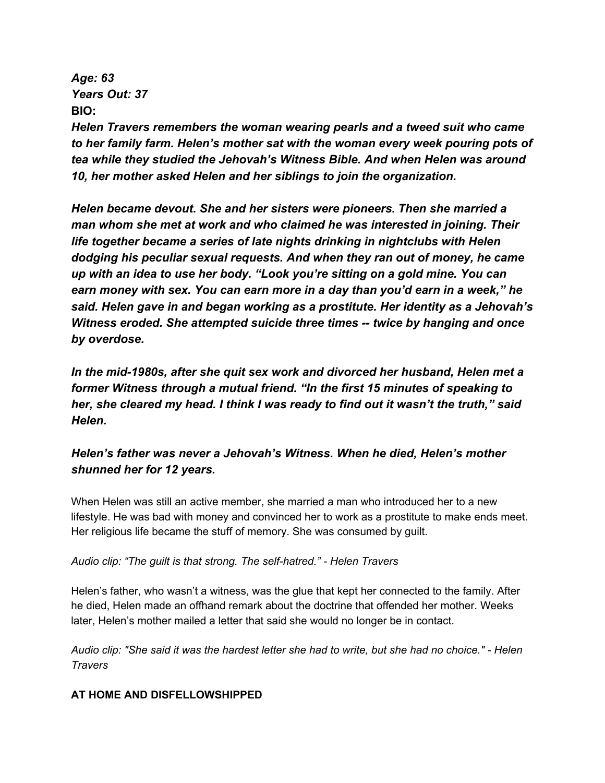*Age: 63 Years Out: 37* **BIO:**

*Helen Travers remembers the woman wearing pearls and a tweed suit who came to her family farm. Helen's mother sat with the woman every week pouring pots of tea while they studied the Jehovah's Witness Bible. And when Helen was around 10, her mother asked Helen and her siblings to join the organization.*

*Helen became devout. She and her sisters were pioneers. Then she married a man whom she met at work and who claimed he was interested in joining. Their life together became a series of late nights drinking in nightclubs with Helen dodging his peculiar sexual requests. And when they ran out of money, he came up with an idea to use her body. "Look you're sitting on a gold mine. You can earn money with sex. You can earn more in a day than you'd earn in a week," he said. Helen gave in and began working as a prostitute. Her identity as a Jehovah's Witness eroded. She attempted suicide three times -- twice by hanging and once by overdose.*

*In the mid-1980s, after she quit sex work and divorced her husband, Helen met a former Witness through a mutual friend. "In the first 15 minutes of speaking to her, she cleared my head. I think I was ready to find out it wasn't the truth," said Helen.*

### *Helen's father was never a Jehovah's Witness. When he died, Helen's mother shunned her for 12 years.*

When Helen was still an active member, she married a man who introduced her to a new lifestyle. He was bad with money and convinced her to work as a prostitute to make ends meet. Her religious life became the stuff of memory. She was consumed by guilt.

#### *Audio clip: "The guilt is that strong. The self-hatred." - Helen Travers*

Helen's father, who wasn't a witness, was the glue that kept her connected to the family. After he died, Helen made an offhand remark about the doctrine that offended her mother. Weeks later, Helen's mother mailed a letter that said she would no longer be in contact.

Audio clip: "She said it was the hardest letter she had to write, but she had no choice." - Helen *Travers*

#### **AT HOME AND DISFELLOWSHIPPED**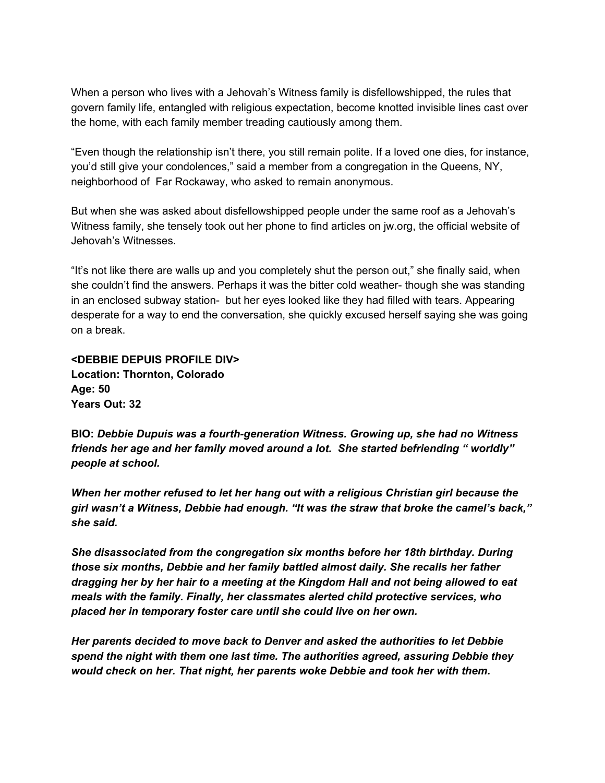When a person who lives with a Jehovah's Witness family is disfellowshipped, the rules that govern family life, entangled with religious expectation, become knotted invisible lines cast over the home, with each family member treading cautiously among them.

"Even though the relationship isn't there, you still remain polite. If a loved one dies, for instance, you'd still give your condolences," said a member from a congregation in the Queens, NY, neighborhood of Far Rockaway, who asked to remain anonymous.

But when she was asked about disfellowshipped people under the same roof as a Jehovah's Witness family, she tensely took out her phone to find articles on jw.org, the official website of Jehovah's Witnesses.

"It's not like there are walls up and you completely shut the person out," she finally said, when she couldn't find the answers. Perhaps it was the bitter cold weather- though she was standing in an enclosed subway station- but her eyes looked like they had filled with tears. Appearing desperate for a way to end the conversation, she quickly excused herself saying she was going on a break.

**<DEBBIE DEPUIS PROFILE DIV> Location: Thornton, Colorado Age: 50 Years Out: 32**

**BIO:** *Debbie Dupuis was a fourth-generation Witness. Growing up, she had no Witness friends her age and her family moved around a lot. She started befriending " worldly" people at school.*

*When her mother refused to let her hang out with a religious Christian girl because the girl wasn't a Witness, Debbie had enough. "It was the straw that broke the camel's back," she said.*

*She disassociated from the congregation six months before her 18th birthday. During those six months, Debbie and her family battled almost daily. She recalls her father dragging her by her hair to a meeting at the Kingdom Hall and not being allowed to eat meals with the family. Finally, her classmates alerted child protective services, who placed her in temporary foster care until she could live on her own.*

*Her parents decided to move back to Denver and asked the authorities to let Debbie spend the night with them one last time. The authorities agreed, assuring Debbie they would check on her. That night, her parents woke Debbie and took her with them.*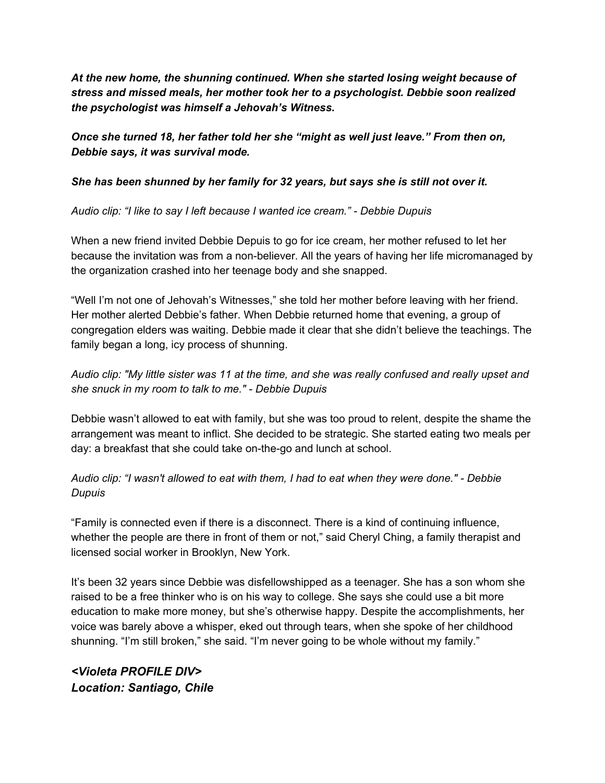*At the new home, the shunning continued. When she started losing weight because of stress and missed meals, her mother took her to a psychologist. Debbie soon realized the psychologist was himself a Jehovah's Witness.*

*Once she turned 18, her father told her she "might as well just leave." From then on, Debbie says, it was survival mode.*

#### *She has been shunned by her family for 32 years, but says she is still not over it.*

*Audio clip: "I like to say I left because I wanted ice cream." - Debbie Dupuis*

When a new friend invited Debbie Depuis to go for ice cream, her mother refused to let her because the invitation was from a non-believer. All the years of having her life micromanaged by the organization crashed into her teenage body and she snapped.

"Well I'm not one of Jehovah's Witnesses," she told her mother before leaving with her friend. Her mother alerted Debbie's father. When Debbie returned home that evening, a group of congregation elders was waiting. Debbie made it clear that she didn't believe the teachings. The family began a long, icy process of shunning.

Audio clip: "My little sister was 11 at the time, and she was really confused and really upset and *she snuck in my room to talk to me." - Debbie Dupuis*

Debbie wasn't allowed to eat with family, but she was too proud to relent, despite the shame the arrangement was meant to inflict. She decided to be strategic. She started eating two meals per day: a breakfast that she could take on-the-go and lunch at school.

*Audio clip: "I wasn't allowed to eat with them, I had to eat when they were done." - Debbie Dupuis*

"Family is connected even if there is a disconnect. There is a kind of continuing influence, whether the people are there in front of them or not," said Cheryl Ching, a family therapist and licensed social worker in Brooklyn, New York.

It's been 32 years since Debbie was disfellowshipped as a teenager. She has a son whom she raised to be a free thinker who is on his way to college. She says she could use a bit more education to make more money, but she's otherwise happy. Despite the accomplishments, her voice was barely above a whisper, eked out through tears, when she spoke of her childhood shunning. "I'm still broken," she said. "I'm never going to be whole without my family."

*<Violeta PROFILE DIV> Location: Santiago, Chile*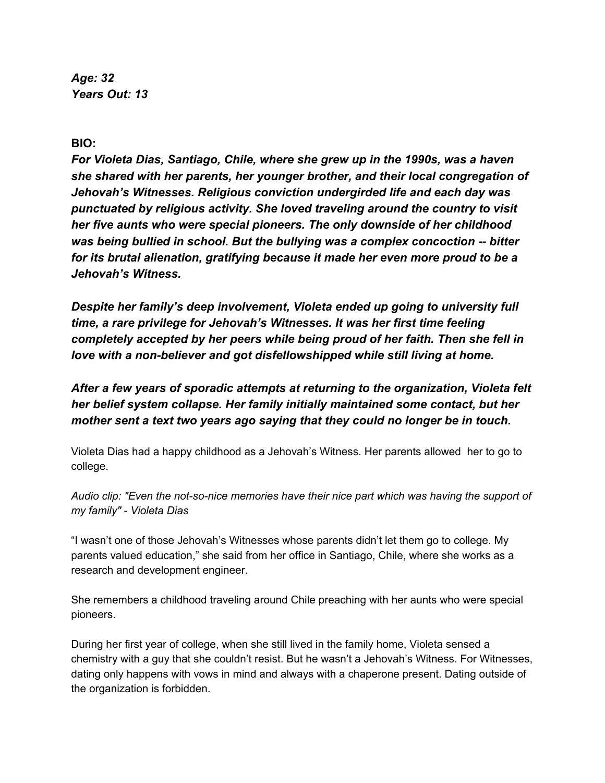*Age: 32 Years Out: 13*

**BIO:**

*For Violeta Dias, Santiago, Chile, where she grew up in the 1990s, was a haven she shared with her parents, her younger brother, and their local congregation of Jehovah's Witnesses. Religious conviction undergirded life and each day was punctuated by religious activity. She loved traveling around the country to visit her five aunts who were special pioneers. The only downside of her childhood was being bullied in school. But the bullying was a complex concoction -- bitter for its brutal alienation, gratifying because it made her even more proud to be a Jehovah's Witness.*

*Despite her family's deep involvement, Violeta ended up going to university full time, a rare privilege for Jehovah's Witnesses. It was her first time feeling completely accepted by her peers while being proud of her faith. Then she fell in love with a non-believer and got disfellowshipped while still living at home.*

*After a few years of sporadic attempts at returning to the organization, Violeta felt her belief system collapse. Her family initially maintained some contact, but her mother sent a text two years ago saying that they could no longer be in touch.*

Violeta Dias had a happy childhood as a Jehovah's Witness. Her parents allowed her to go to college.

*Audio clip: "Even the not-so-nice memories have their nice part which was having the support of my family" - Violeta Dias*

"I wasn't one of those Jehovah's Witnesses whose parents didn't let them go to college. My parents valued education," she said from her office in Santiago, Chile, where she works as a research and development engineer.

She remembers a childhood traveling around Chile preaching with her aunts who were special pioneers.

During her first year of college, when she still lived in the family home, Violeta sensed a chemistry with a guy that she couldn't resist. But he wasn't a Jehovah's Witness. For Witnesses, dating only happens with vows in mind and always with a chaperone present. Dating outside of the organization is forbidden.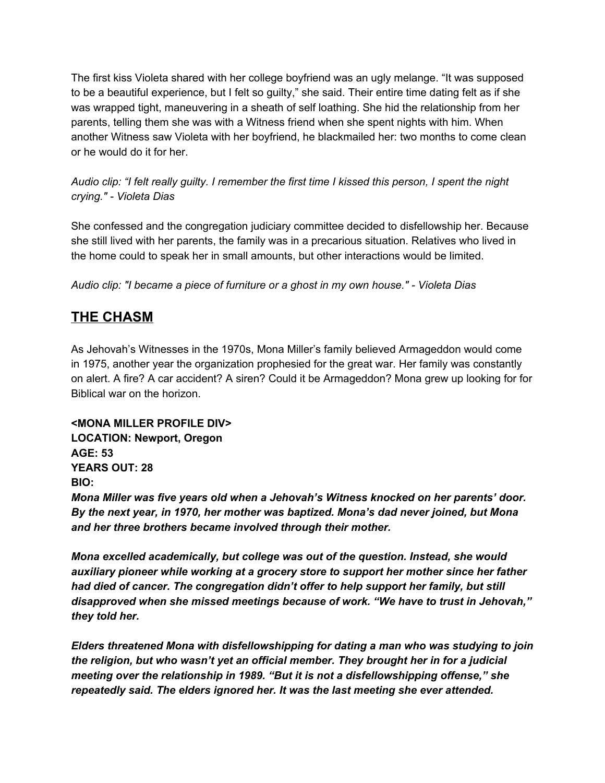The first kiss Violeta shared with her college boyfriend was an ugly melange. "It was supposed to be a beautiful experience, but I felt so guilty," she said. Their entire time dating felt as if she was wrapped tight, maneuvering in a sheath of self loathing. She hid the relationship from her parents, telling them she was with a Witness friend when she spent nights with him. When another Witness saw Violeta with her boyfriend, he blackmailed her: two months to come clean or he would do it for her.

Audio clip: "I felt really guilty. I remember the first time I kissed this person, I spent the night *crying." - Violeta Dias*

She confessed and the congregation judiciary committee decided to disfellowship her. Because she still lived with her parents, the family was in a precarious situation. Relatives who lived in the home could to speak her in small amounts, but other interactions would be limited.

*Audio clip: "I became a piece of furniture or a ghost in my own house." - Violeta Dias*

## **THE CHASM**

As Jehovah's Witnesses in the 1970s, Mona Miller's family believed Armageddon would come in 1975, another year the organization prophesied for the great war. Her family was constantly on alert. A fire? A car accident? A siren? Could it be Armageddon? Mona grew up looking for for Biblical war on the horizon.

**<MONA MILLER PROFILE DIV> LOCATION: Newport, Oregon AGE: 53 YEARS OUT: 28 BIO:**

*Mona Miller was five years old when a Jehovah's Witness knocked on her parents' door. By the next year, in 1970, her mother was baptized. Mona's dad never joined, but Mona and her three brothers became involved through their mother.*

*Mona excelled academically, but college was out of the question. Instead, she would auxiliary pioneer while working at a grocery store to support her mother since her father had died of cancer. The congregation didn't offer to help support her family, but still disapproved when she missed meetings because of work. "We have to trust in Jehovah," they told her.*

*Elders threatened Mona with disfellowshipping for dating a man who was studying to join the religion, but who wasn't yet an official member. They brought her in for a judicial meeting over the relationship in 1989. "But it is not a disfellowshipping offense," she repeatedly said. The elders ignored her. It was the last meeting she ever attended.*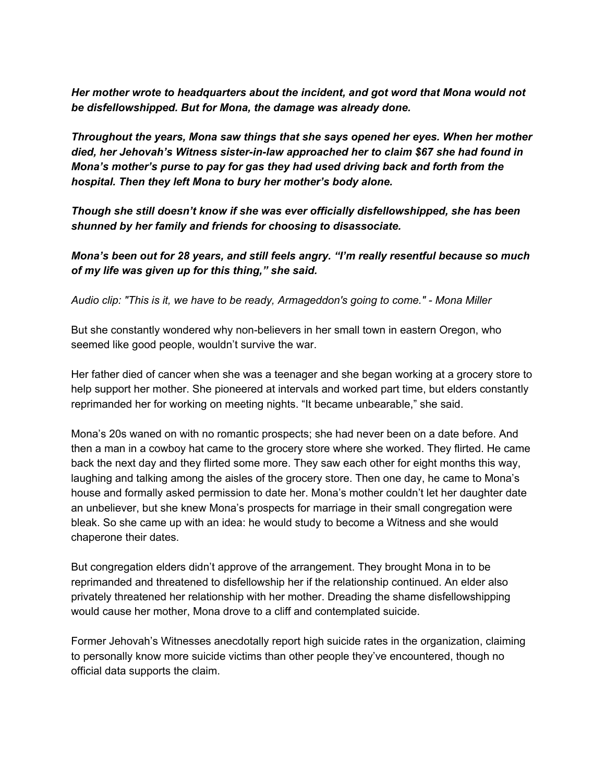*Her mother wrote to headquarters about the incident, and got word that Mona would not be disfellowshipped. But for Mona, the damage was already done.*

*Throughout the years, Mona saw things that she says opened her eyes. When her mother died, her Jehovah's Witness sister-in-law approached her to claim \$67 she had found in Mona's mother's purse to pay for gas they had used driving back and forth from the hospital. Then they left Mona to bury her mother's body alone.*

*Though she still doesn't know if she was ever officially disfellowshipped, she has been shunned by her family and friends for choosing to disassociate.*

*Mona's been out for 28 years, and still feels angry. "I'm really resentful because so much of my life was given up for this thing," she said.*

*Audio clip: "This is it, we have to be ready, Armageddon's going to come." - Mona Miller*

But she constantly wondered why non-believers in her small town in eastern Oregon, who seemed like good people, wouldn't survive the war.

Her father died of cancer when she was a teenager and she began working at a grocery store to help support her mother. She pioneered at intervals and worked part time, but elders constantly reprimanded her for working on meeting nights. "It became unbearable," she said.

Mona's 20s waned on with no romantic prospects; she had never been on a date before. And then a man in a cowboy hat came to the grocery store where she worked. They flirted. He came back the next day and they flirted some more. They saw each other for eight months this way, laughing and talking among the aisles of the grocery store. Then one day, he came to Mona's house and formally asked permission to date her. Mona's mother couldn't let her daughter date an unbeliever, but she knew Mona's prospects for marriage in their small congregation were bleak. So she came up with an idea: he would study to become a Witness and she would chaperone their dates.

But congregation elders didn't approve of the arrangement. They brought Mona in to be reprimanded and threatened to disfellowship her if the relationship continued. An elder also privately threatened her relationship with her mother. Dreading the shame disfellowshipping would cause her mother, Mona drove to a cliff and contemplated suicide.

Former Jehovah's Witnesses anecdotally report high suicide rates in the organization, claiming to personally know more suicide victims than other people they've encountered, though no official data supports the claim.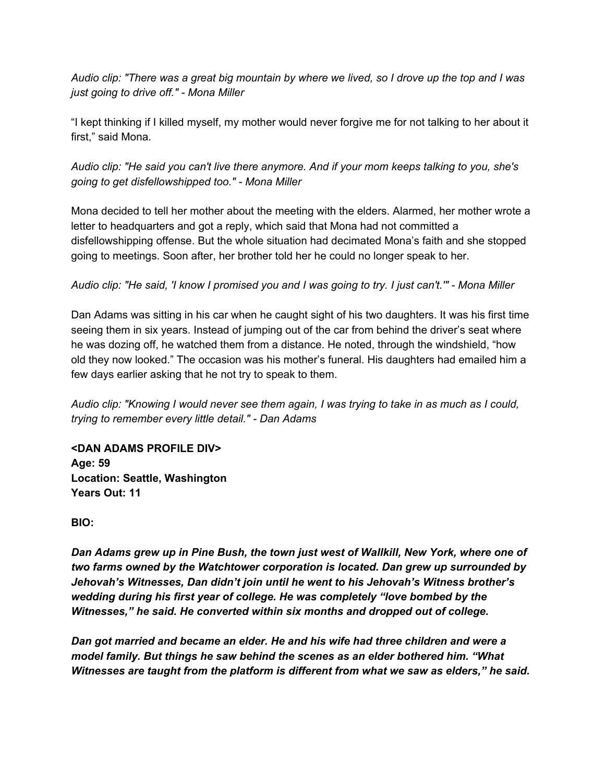Audio clip: "There was a great big mountain by where we lived, so I drove up the top and I was *just going to drive off." - Mona Miller*

"I kept thinking if I killed myself, my mother would never forgive me for not talking to her about it first," said Mona.

*Audio clip: "He said you can't live there anymore. And if your mom keeps talking to you, she's going to get disfellowshipped too." - Mona Miller*

Mona decided to tell her mother about the meeting with the elders. Alarmed, her mother wrote a letter to headquarters and got a reply, which said that Mona had not committed a disfellowshipping offense. But the whole situation had decimated Mona's faith and she stopped going to meetings. Soon after, her brother told her he could no longer speak to her.

#### Audio clip: "He said, 'I know I promised you and I was going to try. I just can't."" - Mona Miller

Dan Adams was sitting in his car when he caught sight of his two daughters. It was his first time seeing them in six years. Instead of jumping out of the car from behind the driver's seat where he was dozing off, he watched them from a distance. He noted, through the windshield, "how old they now looked." The occasion was his mother's funeral. His daughters had emailed him a few days earlier asking that he not try to speak to them.

Audio clip: "Knowing I would never see them again, I was trying to take in as much as I could, *trying to remember every little detail." - Dan Adams*

**<DAN ADAMS PROFILE DIV> Age: 59 Location: Seattle, Washington Years Out: 11**

**BIO:**

*Dan Adams grew up in Pine Bush, the town just west of Wallkill, New York, where one of two farms owned by the Watchtower corporation is located. Dan grew up surrounded by Jehovah's Witnesses, Dan didn't join until he went to his Jehovah's Witness brother's wedding during his first year of college. He was completely "love bombed by the Witnesses," he said. He converted within six months and dropped out of college.*

*Dan got married and became an elder. He and his wife had three children and were a model family. But things he saw behind the scenes as an elder bothered him. "What Witnesses are taught from the platform is different from what we saw as elders," he said.*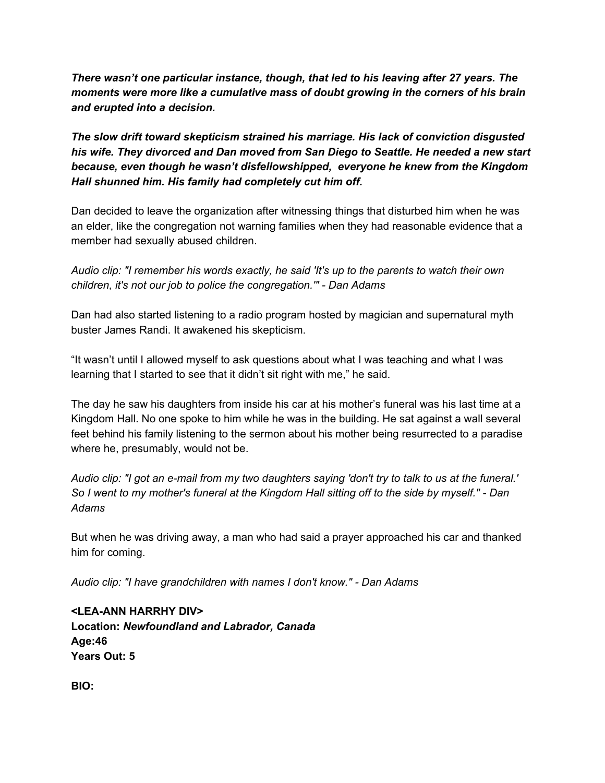*There wasn't one particular instance, though, that led to his leaving after 27 years. The moments were more like a cumulative mass of doubt growing in the corners of his brain and erupted into a decision.*

*The slow drift toward skepticism strained his marriage. His lack of conviction disgusted his wife. They divorced and Dan moved from San Diego to Seattle. He needed a new start because, even though he wasn't disfellowshipped, everyone he knew from the Kingdom Hall shunned him. His family had completely cut him off.*

Dan decided to leave the organization after witnessing things that disturbed him when he was an elder, like the congregation not warning families when they had reasonable evidence that a member had sexually abused children.

*Audio clip: "I remember his words exactly, he said 'It's up to the parents to watch their own children, it's not our job to police the congregation.'" - Dan Adams*

Dan had also started listening to a radio program hosted by magician and supernatural myth buster James Randi. It awakened his skepticism.

"It wasn't until I allowed myself to ask questions about what I was teaching and what I was learning that I started to see that it didn't sit right with me," he said.

The day he saw his daughters from inside his car at his mother's funeral was his last time at a Kingdom Hall. No one spoke to him while he was in the building. He sat against a wall several feet behind his family listening to the sermon about his mother being resurrected to a paradise where he, presumably, would not be.

Audio clip: "I got an e-mail from my two daughters saying 'don't try to talk to us at the funeral.' So I went to my mother's funeral at the Kingdom Hall sitting off to the side by myself." - Dan *Adams*

But when he was driving away, a man who had said a prayer approached his car and thanked him for coming.

*Audio clip: "I have grandchildren with names I don't know." - Dan Adams*

**<LEA-ANN HARRHY DIV> Location:** *Newfoundland and Labrador, Canada* **Age:46 Years Out: 5**

**BIO:**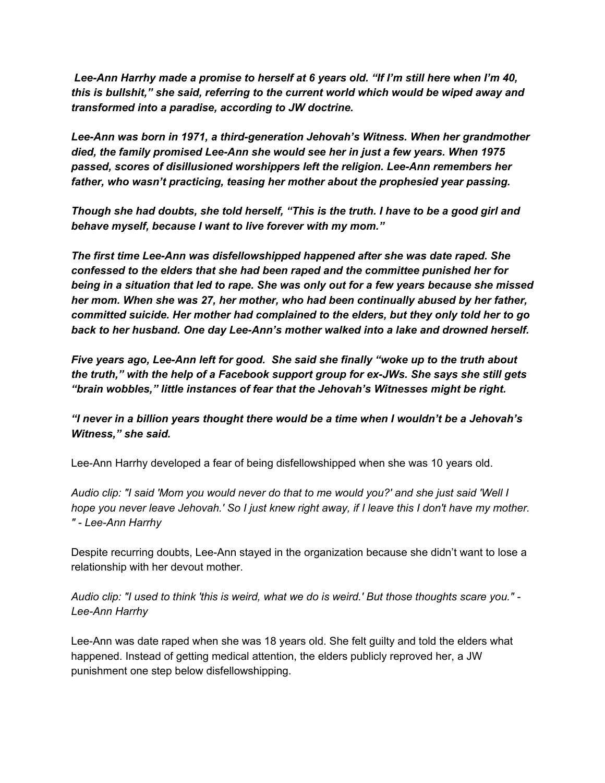*Lee-Ann Harrhy made a promise to herself at 6 years old. "If I'm still here when I'm 40, this is bullshit," she said, referring to the current world which would be wiped away and transformed into a paradise, according to JW doctrine.*

*Lee-Ann was born in 1971, a third-generation Jehovah's Witness. When her grandmother died, the family promised Lee-Ann she would see her in just a few years. When 1975 passed, scores of disillusioned worshippers left the religion. Lee-Ann remembers her father, who wasn't practicing, teasing her mother about the prophesied year passing.*

*Though she had doubts, she told herself, "This is the truth. I have to be a good girl and behave myself, because I want to live forever with my mom."*

*The first time Lee-Ann was disfellowshipped happened after she was date raped. She confessed to the elders that she had been raped and the committee punished her for being in a situation that led to rape. She was only out for a few years because she missed her mom. When she was 27, her mother, who had been continually abused by her father, committed suicide. Her mother had complained to the elders, but they only told her to go back to her husband. One day Lee-Ann's mother walked into a lake and drowned herself.*

*Five years ago, Lee-Ann left for good. She said she finally "woke up to the truth about the truth," with the help of a Facebook support group for ex-JWs. She says she still gets "brain wobbles," little instances of fear that the Jehovah's Witnesses might be right.*

*"I never in a billion years thought there would be a time when I wouldn't be a Jehovah's Witness," she said.*

Lee-Ann Harrhy developed a fear of being disfellowshipped when she was 10 years old.

Audio clip: "I said 'Mom you would never do that to me would you?' and she just said 'Well I hope you never leave Jehovah.' So I just knew right away, if I leave this I don't have my mother. *" - Lee-Ann Harrhy*

Despite recurring doubts, Lee-Ann stayed in the organization because she didn't want to lose a relationship with her devout mother.

Audio clip: "I used to think 'this is weird, what we do is weird.' But those thoughts scare you." -*Lee-Ann Harrhy*

Lee-Ann was date raped when she was 18 years old. She felt guilty and told the elders what happened. Instead of getting medical attention, the elders publicly reproved her, a JW punishment one step below disfellowshipping.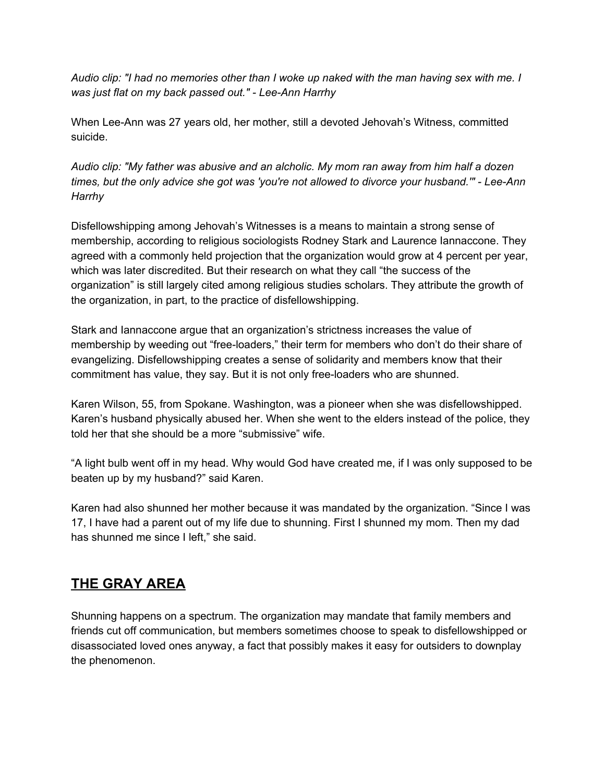Audio clip: "I had no memories other than I woke up naked with the man having sex with me. I *was just flat on my back passed out." - Lee-Ann Harrhy*

When Lee-Ann was 27 years old, her mother, still a devoted Jehovah's Witness, committed suicide.

*Audio clip: "My father was abusive and an alcholic. My mom ran away from him half a dozen times, but the only advice she got was 'you're not allowed to divorce your husband.'" - Lee-Ann Harrhy*

Disfellowshipping among Jehovah's Witnesses is a means to maintain a strong sense of membership, according to religious sociologists Rodney Stark and Laurence Iannaccone. They agreed with a commonly held projection that the organization would grow at 4 percent per year, which was later discredited. But their research on what they call "the success of the organization" is still largely cited among religious studies scholars. They attribute the growth of the organization, in part, to the practice of disfellowshipping.

Stark and Iannaccone argue that an organization's strictness increases the value of membership by weeding out "free-loaders," their term for members who don't do their share of evangelizing. Disfellowshipping creates a sense of solidarity and members know that their commitment has value, they say. But it is not only free-loaders who are shunned.

Karen Wilson, 55, from Spokane. Washington, was a pioneer when she was disfellowshipped. Karen's husband physically abused her. When she went to the elders instead of the police, they told her that she should be a more "submissive" wife.

"A light bulb went off in my head. Why would God have created me, if I was only supposed to be beaten up by my husband?" said Karen.

Karen had also shunned her mother because it was mandated by the organization. "Since I was 17, I have had a parent out of my life due to shunning. First I shunned my mom. Then my dad has shunned me since I left," she said.

### **THE GRAY AREA**

Shunning happens on a spectrum. The organization may mandate that family members and friends cut off communication, but members sometimes choose to speak to disfellowshipped or disassociated loved ones anyway, a fact that possibly makes it easy for outsiders to downplay the phenomenon.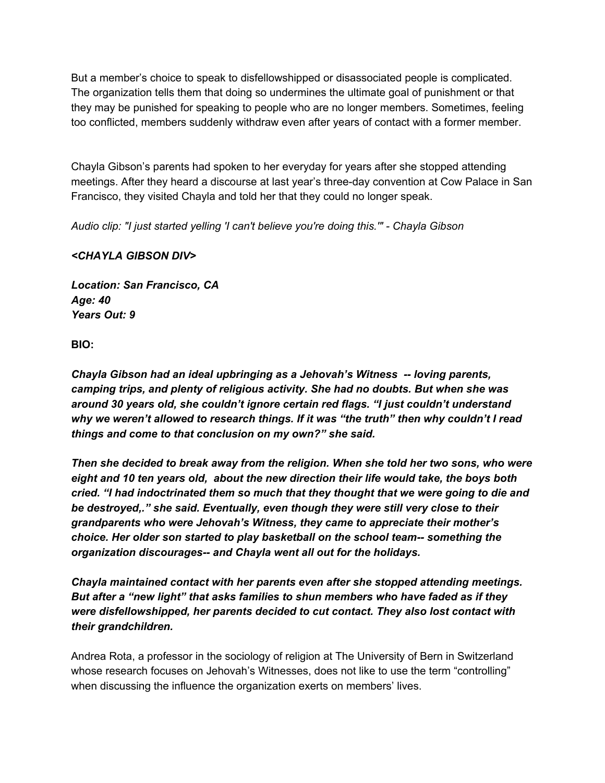But a member's choice to speak to disfellowshipped or disassociated people is complicated. The organization tells them that doing so undermines the ultimate goal of punishment or that they may be punished for speaking to people who are no longer members. Sometimes, feeling too conflicted, members suddenly withdraw even after years of contact with a former member.

Chayla Gibson's parents had spoken to her everyday for years after she stopped attending meetings. After they heard a discourse at last year's three-day convention at Cow Palace in San Francisco, they visited Chayla and told her that they could no longer speak.

*Audio clip: "I just started yelling 'I can't believe you're doing this.'" - Chayla Gibson*

#### *<CHAYLA GIBSON DIV>*

*Location: San Francisco, CA Age: 40 Years Out: 9*

**BIO:**

*Chayla Gibson had an ideal upbringing as a Jehovah's Witness -- loving parents, camping trips, and plenty of religious activity. She had no doubts. But when she was around 30 years old, she couldn't ignore certain red flags. "I just couldn't understand why we weren't allowed to research things. If it was "the truth" then why couldn't I read things and come to that conclusion on my own?" she said.*

*Then she decided to break away from the religion. When she told her two sons, who were eight and 10 ten years old, about the new direction their life would take, the boys both cried. "I had indoctrinated them so much that they thought that we were going to die and be destroyed,." she said. Eventually, even though they were still very close to their grandparents who were Jehovah's Witness, they came to appreciate their mother's choice. Her older son started to play basketball on the school team-- something the organization discourages-- and Chayla went all out for the holidays.*

*Chayla maintained contact with her parents even after she stopped attending meetings. But after a "new light" that asks families to shun members who have faded as if they were disfellowshipped, her parents decided to cut contact. They also lost contact with their grandchildren.*

Andrea Rota, a professor in the sociology of religion at The University of Bern in Switzerland whose research focuses on Jehovah's Witnesses, does not like to use the term "controlling" when discussing the influence the organization exerts on members' lives.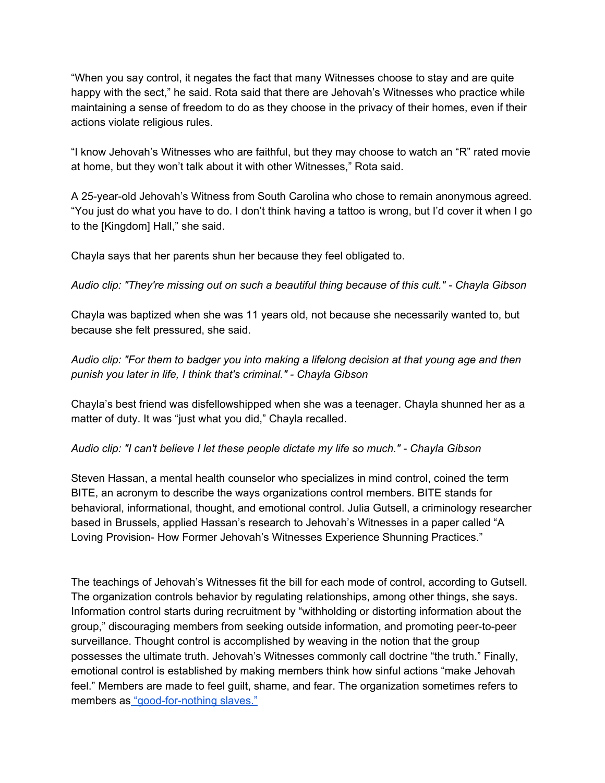"When you say control, it negates the fact that many Witnesses choose to stay and are quite happy with the sect," he said. Rota said that there are Jehovah's Witnesses who practice while maintaining a sense of freedom to do as they choose in the privacy of their homes, even if their actions violate religious rules.

"I know Jehovah's Witnesses who are faithful, but they may choose to watch an "R" rated movie at home, but they won't talk about it with other Witnesses," Rota said.

A 25-year-old Jehovah's Witness from South Carolina who chose to remain anonymous agreed. "You just do what you have to do. I don't think having a tattoo is wrong, but I'd cover it when I go to the [Kingdom] Hall," she said.

Chayla says that her parents shun her because they feel obligated to.

*Audio clip: "They're missing out on such a beautiful thing because of this cult." - Chayla Gibson*

Chayla was baptized when she was 11 years old, not because she necessarily wanted to, but because she felt pressured, she said.

*Audio clip: "For them to badger you into making a lifelong decision at that young age and then punish you later in life, I think that's criminal." - Chayla Gibson*

Chayla's best friend was disfellowshipped when she was a teenager. Chayla shunned her as a matter of duty. It was "just what you did," Chayla recalled.

*Audio clip: "I can't believe I let these people dictate my life so much." - Chayla Gibson*

Steven Hassan, a mental health counselor who specializes in mind control, coined the term BITE, an acronym to describe the ways organizations control members. BITE stands for behavioral, informational, thought, and emotional control. Julia Gutsell, a criminology researcher based in Brussels, applied Hassan's research to Jehovah's Witnesses in a paper called "A Loving Provision- How Former Jehovah's Witnesses Experience Shunning Practices."

The teachings of Jehovah's Witnesses fit the bill for each mode of control, according to Gutsell. The organization controls behavior by regulating relationships, among other things, she says. Information control starts during recruitment by "withholding or distorting information about the group," discouraging members from seeking outside information, and promoting peer-to-peer surveillance. Thought control is accomplished by weaving in the notion that the group possesses the ultimate truth. Jehovah's Witnesses commonly call doctrine "the truth." Finally, emotional control is established by making members think how sinful actions "make Jehovah feel." Members are made to feel guilt, shame, and fear. The organization sometimes refers to members as ["good-for-nothing](https://wol.jw.org/en/wol/d/r1/lp-e/2005204) slaves."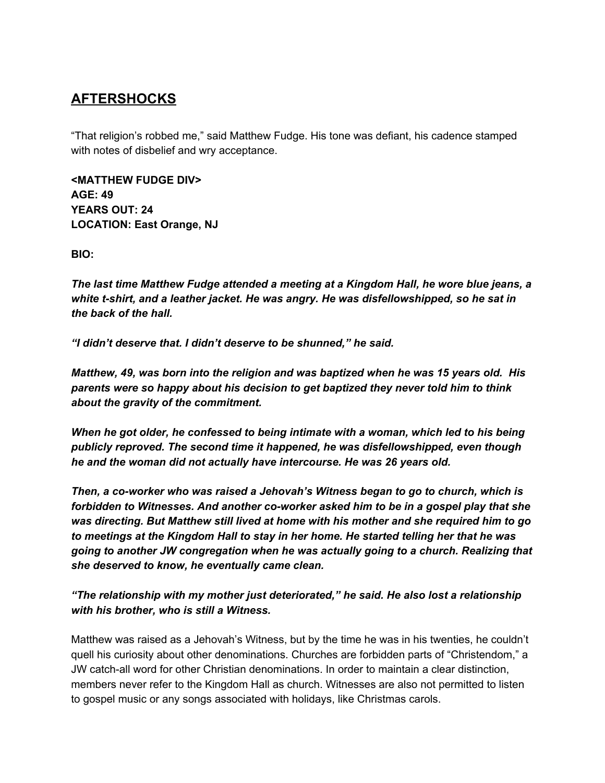### **AFTERSHOCKS**

"That religion's robbed me," said Matthew Fudge. His tone was defiant, his cadence stamped with notes of disbelief and wry acceptance.

**<MATTHEW FUDGE DIV> AGE: 49 YEARS OUT: 24 LOCATION: East Orange, NJ**

**BIO:**

*The last time Matthew Fudge attended a meeting at a Kingdom Hall, he wore blue jeans, a white t-shirt, and a leather jacket. He was angry. He was disfellowshipped, so he sat in the back of the hall.*

*"I didn't deserve that. I didn't deserve to be shunned," he said.*

*Matthew, 49, was born into the religion and was baptized when he was 15 years old. His parents were so happy about his decision to get baptized they never told him to think about the gravity of the commitment.*

*When he got older, he confessed to being intimate with a woman, which led to his being publicly reproved. The second time it happened, he was disfellowshipped, even though he and the woman did not actually have intercourse. He was 26 years old.*

*Then, a co-worker who was raised a Jehovah's Witness began to go to church, which is forbidden to Witnesses. And another co-worker asked him to be in a gospel play that she was directing. But Matthew still lived at home with his mother and she required him to go to meetings at the Kingdom Hall to stay in her home. He started telling her that he was going to another JW congregation when he was actually going to a church. Realizing that she deserved to know, he eventually came clean.*

*"The relationship with my mother just deteriorated," he said. He also lost a relationship with his brother, who is still a Witness.*

Matthew was raised as a Jehovah's Witness, but by the time he was in his twenties, he couldn't quell his curiosity about other denominations. Churches are forbidden parts of "Christendom," a JW catch-all word for other Christian denominations. In order to maintain a clear distinction, members never refer to the Kingdom Hall as church. Witnesses are also not permitted to listen to gospel music or any songs associated with holidays, like Christmas carols.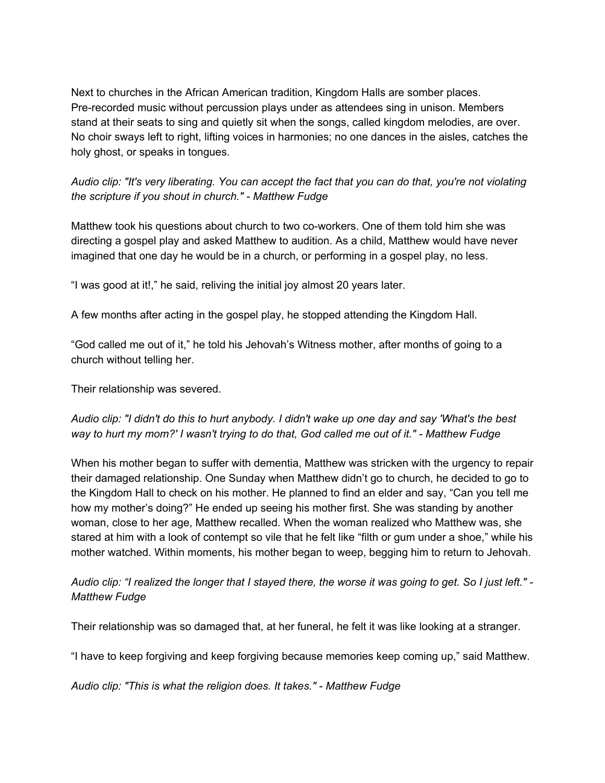Next to churches in the African American tradition, Kingdom Halls are somber places. Pre-recorded music without percussion plays under as attendees sing in unison. Members stand at their seats to sing and quietly sit when the songs, called kingdom melodies, are over. No choir sways left to right, lifting voices in harmonies; no one dances in the aisles, catches the holy ghost, or speaks in tongues.

Audio clip: "It's very liberating. You can accept the fact that you can do that, you're not violating *the scripture if you shout in church." - Matthew Fudge*

Matthew took his questions about church to two co-workers. One of them told him she was directing a gospel play and asked Matthew to audition. As a child, Matthew would have never imagined that one day he would be in a church, or performing in a gospel play, no less.

"I was good at it!," he said, reliving the initial joy almost 20 years later.

A few months after acting in the gospel play, he stopped attending the Kingdom Hall.

"God called me out of it," he told his Jehovah's Witness mother, after months of going to a church without telling her.

Their relationship was severed.

Audio clip: "I didn't do this to hurt anybody. I didn't wake up one day and say 'What's the best way to hurt my mom?' I wasn't trying to do that, God called me out of it." - Matthew Fudge

When his mother began to suffer with dementia, Matthew was stricken with the urgency to repair their damaged relationship. One Sunday when Matthew didn't go to church, he decided to go to the Kingdom Hall to check on his mother. He planned to find an elder and say, "Can you tell me how my mother's doing?" He ended up seeing his mother first. She was standing by another woman, close to her age, Matthew recalled. When the woman realized who Matthew was, she stared at him with a look of contempt so vile that he felt like "filth or gum under a shoe," while his mother watched. Within moments, his mother began to weep, begging him to return to Jehovah.

Audio clip: "I realized the longer that I stayed there, the worse it was going to get. So I just left." -*Matthew Fudge*

Their relationship was so damaged that, at her funeral, he felt it was like looking at a stranger.

"I have to keep forgiving and keep forgiving because memories keep coming up," said Matthew.

*Audio clip: "This is what the religion does. It takes." - Matthew Fudge*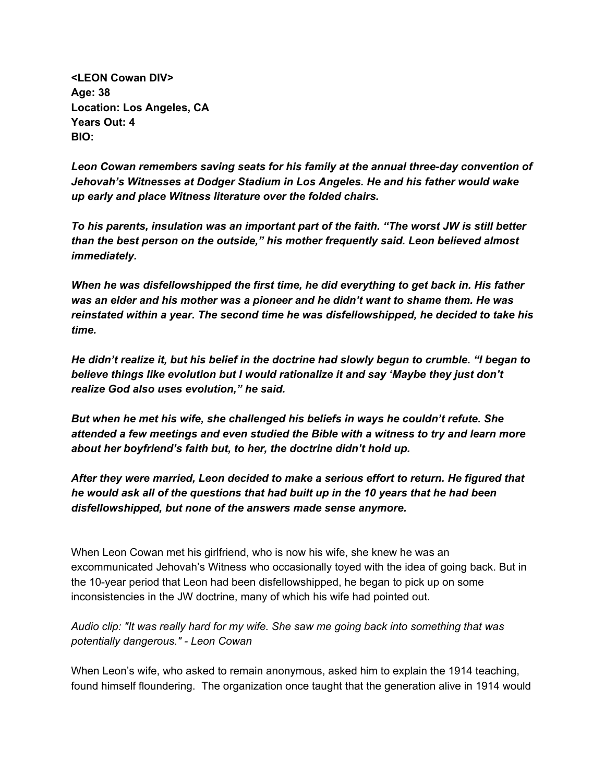**<LEON Cowan DIV> Age: 38 Location: Los Angeles, CA Years Out: 4 BIO:**

*Leon Cowan remembers saving seats for his family at the annual three-day convention of Jehovah's Witnesses at Dodger Stadium in Los Angeles. He and his father would wake up early and place Witness literature over the folded chairs.*

*To his parents, insulation was an important part of the faith. "The worst JW is still better than the best person on the outside," his mother frequently said. Leon believed almost immediately.*

*When he was disfellowshipped the first time, he did everything to get back in. His father was an elder and his mother was a pioneer and he didn't want to shame them. He was reinstated within a year. The second time he was disfellowshipped, he decided to take his time.*

*He didn't realize it, but his belief in the doctrine had slowly begun to crumble. "I began to believe things like evolution but I would rationalize it and say 'Maybe they just don't realize God also uses evolution," he said.*

*But when he met his wife, she challenged his beliefs in ways he couldn't refute. She attended a few meetings and even studied the Bible with a witness to try and learn more about her boyfriend's faith but, to her, the doctrine didn't hold up.*

*After they were married, Leon decided to make a serious effort to return. He figured that he would ask all of the questions that had built up in the 10 years that he had been disfellowshipped, but none of the answers made sense anymore.*

When Leon Cowan met his girlfriend, who is now his wife, she knew he was an excommunicated Jehovah's Witness who occasionally toyed with the idea of going back. But in the 10-year period that Leon had been disfellowshipped, he began to pick up on some inconsistencies in the JW doctrine, many of which his wife had pointed out.

#### *Audio clip: "It was really hard for my wife. She saw me going back into something that was potentially dangerous." - Leon Cowan*

When Leon's wife, who asked to remain anonymous, asked him to explain the 1914 teaching, found himself floundering. The organization once taught that the generation alive in 1914 would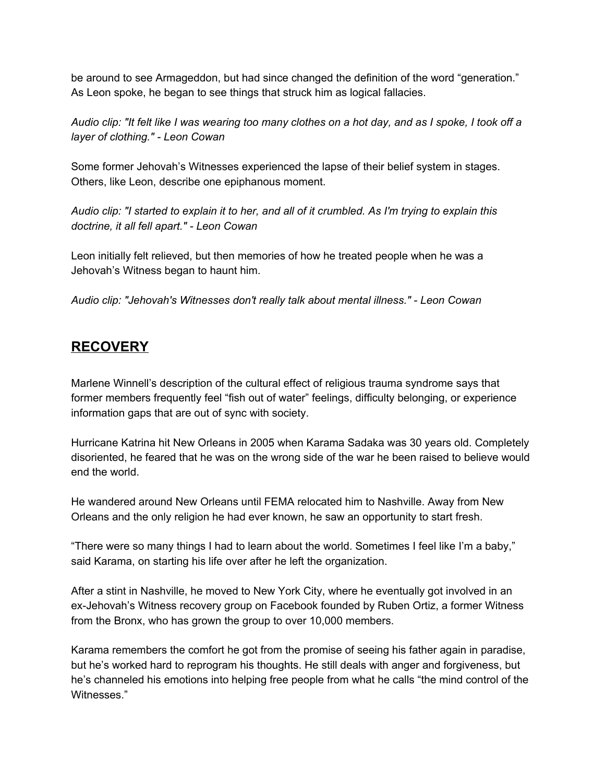be around to see Armageddon, but had since changed the definition of the word "generation." As Leon spoke, he began to see things that struck him as logical fallacies.

Audio clip: "It felt like I was wearing too many clothes on a hot day, and as I spoke, I took off a *layer of clothing." - Leon Cowan*

Some former Jehovah's Witnesses experienced the lapse of their belief system in stages. Others, like Leon, describe one epiphanous moment.

Audio clip: "I started to explain it to her, and all of it crumbled. As I'm trying to explain this *doctrine, it all fell apart." - Leon Cowan*

Leon initially felt relieved, but then memories of how he treated people when he was a Jehovah's Witness began to haunt him.

*Audio clip: "Jehovah's Witnesses don't really talk about mental illness." - Leon Cowan*

## **RECOVERY**

Marlene Winnell's description of the cultural effect of religious trauma syndrome says that former members frequently feel "fish out of water" feelings, difficulty belonging, or experience information gaps that are out of sync with society.

Hurricane Katrina hit New Orleans in 2005 when Karama Sadaka was 30 years old. Completely disoriented, he feared that he was on the wrong side of the war he been raised to believe would end the world.

He wandered around New Orleans until FEMA relocated him to Nashville. Away from New Orleans and the only religion he had ever known, he saw an opportunity to start fresh.

"There were so many things I had to learn about the world. Sometimes I feel like I'm a baby," said Karama, on starting his life over after he left the organization.

After a stint in Nashville, he moved to New York City, where he eventually got involved in an ex-Jehovah's Witness recovery group on Facebook founded by Ruben Ortiz, a former Witness from the Bronx, who has grown the group to over 10,000 members.

Karama remembers the comfort he got from the promise of seeing his father again in paradise, but he's worked hard to reprogram his thoughts. He still deals with anger and forgiveness, but he's channeled his emotions into helping free people from what he calls "the mind control of the Witnesses."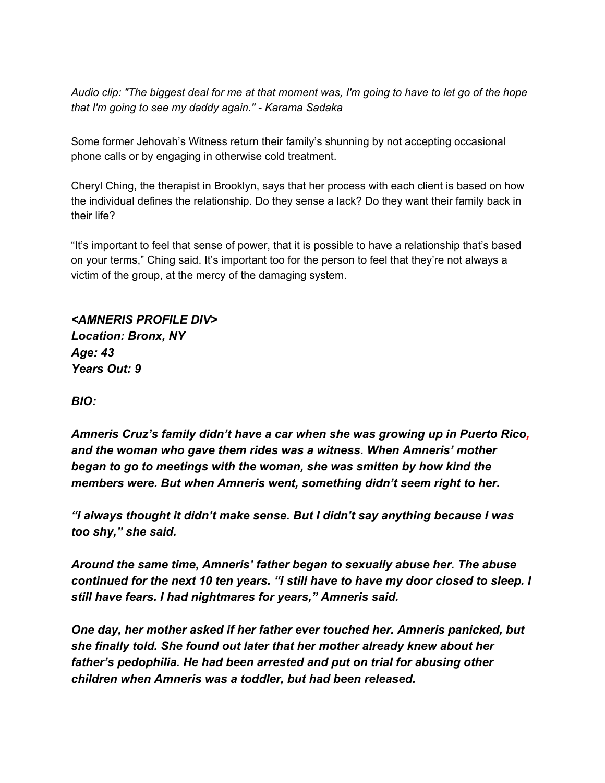Audio clip: "The biggest deal for me at that moment was, I'm going to have to let go of the hope *that I'm going to see my daddy again." - Karama Sadaka*

Some former Jehovah's Witness return their family's shunning by not accepting occasional phone calls or by engaging in otherwise cold treatment.

Cheryl Ching, the therapist in Brooklyn, says that her process with each client is based on how the individual defines the relationship. Do they sense a lack? Do they want their family back in their life?

"It's important to feel that sense of power, that it is possible to have a relationship that's based on your terms," Ching said. It's important too for the person to feel that they're not always a victim of the group, at the mercy of the damaging system.

*<AMNERIS PROFILE DIV> Location: Bronx, NY Age: 43 Years Out: 9*

*BIO:*

*Amneris Cruz's family didn't have a car when she was growing up in Puerto Rico, and the woman who gave them rides was a witness. When Amneris' mother began to go to meetings with the woman, she was smitten by how kind the members were. But when Amneris went, something didn't seem right to her.*

*"I always thought it didn't make sense. But I didn't say anything because I was too shy," she said.*

*Around the same time, Amneris' father began to sexually abuse her. The abuse continued for the next 10 ten years. "I still have to have my door closed to sleep. I still have fears. I had nightmares for years," Amneris said.*

*One day, her mother asked if her father ever touched her. Amneris panicked, but she finally told. She found out later that her mother already knew about her father's pedophilia. He had been arrested and put on trial for abusing other children when Amneris was a toddler, but had been released.*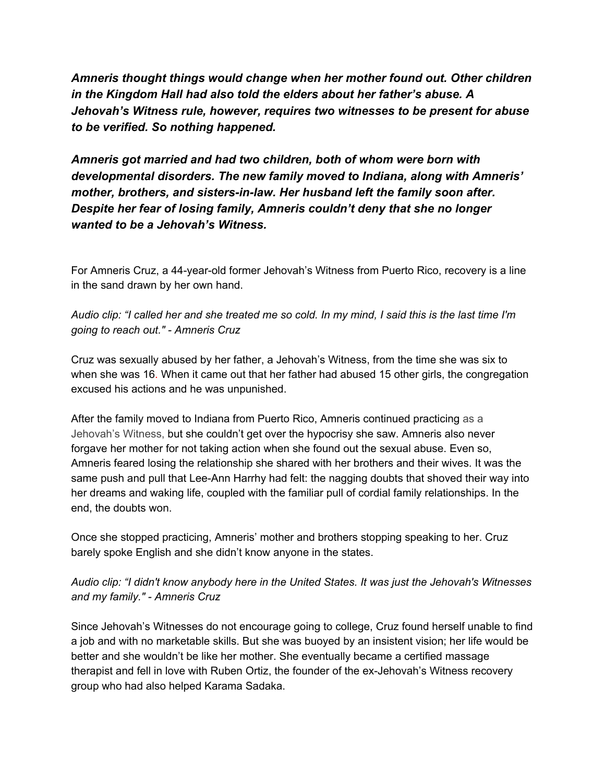*Amneris thought things would change when her mother found out. Other children in the Kingdom Hall had also told the elders about her father's abuse. A Jehovah's Witness rule, however, requires two witnesses to be present for abuse to be verified. So nothing happened.*

*Amneris got married and had two children, both of whom were born with developmental disorders. The new family moved to Indiana, along with Amneris' mother, brothers, and sisters-in-law. Her husband left the family soon after. Despite her fear of losing family, Amneris couldn't deny that she no longer wanted to be a Jehovah's Witness.*

For Amneris Cruz, a 44-year-old former Jehovah's Witness from Puerto Rico, recovery is a line in the sand drawn by her own hand.

Audio clip: "I called her and she treated me so cold. In my mind, I said this is the last time I'm *going to reach out." - Amneris Cruz*

Cruz was sexually abused by her father, a Jehovah's Witness, from the time she was six to when she was 16. When it came out that her father had abused 15 other girls, the congregation excused his actions and he was unpunished.

After the family moved to Indiana from Puerto Rico, Amneris continued practicing as a Jehovah's Witness, but she couldn't get over the hypocrisy she saw. Amneris also never forgave her mother for not taking action when she found out the sexual abuse. Even so, Amneris feared losing the relationship she shared with her brothers and their wives. It was the same push and pull that Lee-Ann Harrhy had felt: the nagging doubts that shoved their way into her dreams and waking life, coupled with the familiar pull of cordial family relationships. In the end, the doubts won.

Once she stopped practicing, Amneris' mother and brothers stopping speaking to her. Cruz barely spoke English and she didn't know anyone in the states.

*Audio clip: "I didn't know anybody here in the United States. It was just the Jehovah's Witnesses and my family." - Amneris Cruz*

Since Jehovah's Witnesses do not encourage going to college, Cruz found herself unable to find a job and with no marketable skills. But she was buoyed by an insistent vision; her life would be better and she wouldn't be like her mother. She eventually became a certified massage therapist and fell in love with Ruben Ortiz, the founder of the ex-Jehovah's Witness recovery group who had also helped Karama Sadaka.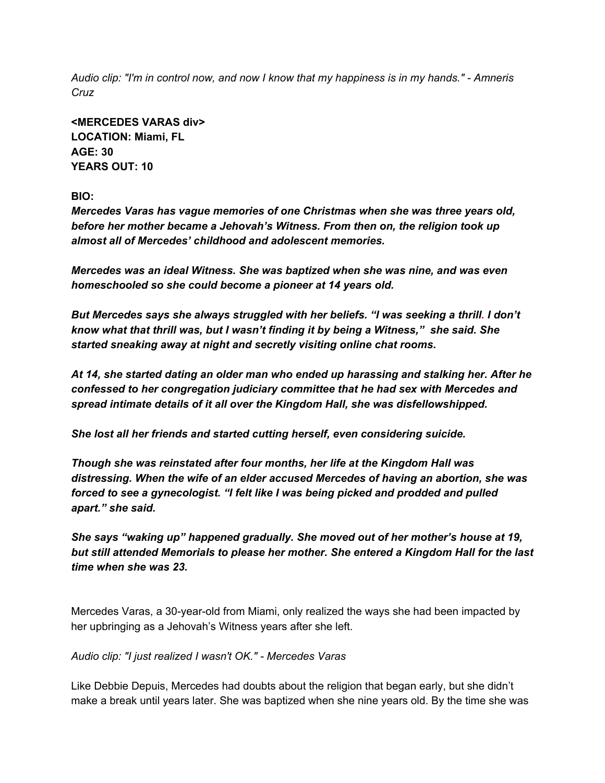Audio clip: "I'm in control now, and now I know that my happiness is in my hands." - Amneris *Cruz*

**<MERCEDES VARAS div> LOCATION: Miami, FL AGE: 30 YEARS OUT: 10**

**BIO:**

*Mercedes Varas has vague memories of one Christmas when she was three years old, before her mother became a Jehovah's Witness. From then on, the religion took up almost all of Mercedes' childhood and adolescent memories.*

*Mercedes was an ideal Witness. She was baptized when she was nine, and was even homeschooled so she could become a pioneer at 14 years old.*

*But Mercedes says she always struggled with her beliefs. "I was seeking a thrill. I don't know what that thrill was, but I wasn't finding it by being a Witness," she said. She started sneaking away at night and secretly visiting online chat rooms.*

*At 14, she started dating an older man who ended up harassing and stalking her. After he confessed to her congregation judiciary committee that he had sex with Mercedes and spread intimate details of it all over the Kingdom Hall, she was disfellowshipped.*

*She lost all her friends and started cutting herself, even considering suicide.*

*Though she was reinstated after four months, her life at the Kingdom Hall was distressing. When the wife of an elder accused Mercedes of having an abortion, she was forced to see a gynecologist. "I felt like I was being picked and prodded and pulled apart." she said.*

*She says "waking up" happened gradually. She moved out of her mother's house at 19, but still attended Memorials to please her mother. She entered a Kingdom Hall for the last time when she was 23.*

Mercedes Varas, a 30-year-old from Miami, only realized the ways she had been impacted by her upbringing as a Jehovah's Witness years after she left.

*Audio clip: "I just realized I wasn't OK." - Mercedes Varas*

Like Debbie Depuis, Mercedes had doubts about the religion that began early, but she didn't make a break until years later. She was baptized when she nine years old. By the time she was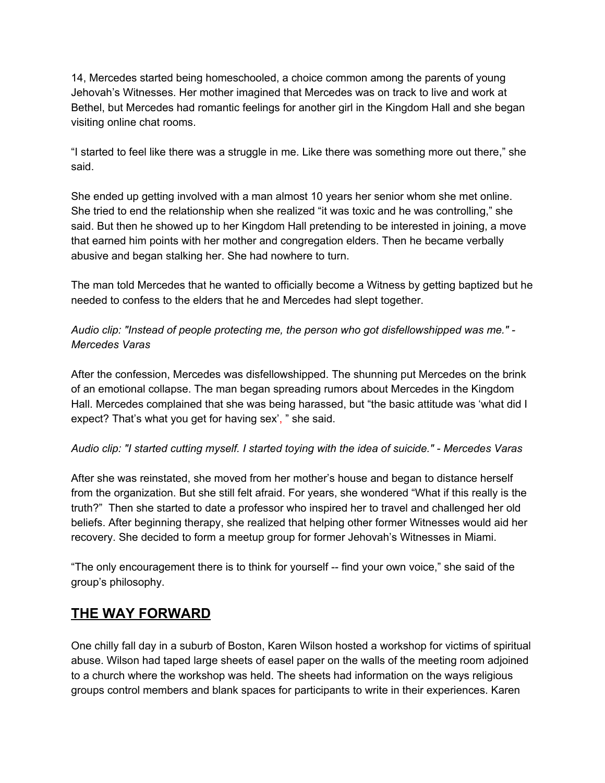14, Mercedes started being homeschooled, a choice common among the parents of young Jehovah's Witnesses. Her mother imagined that Mercedes was on track to live and work at Bethel, but Mercedes had romantic feelings for another girl in the Kingdom Hall and she began visiting online chat rooms.

"I started to feel like there was a struggle in me. Like there was something more out there," she said.

She ended up getting involved with a man almost 10 years her senior whom she met online. She tried to end the relationship when she realized "it was toxic and he was controlling," she said. But then he showed up to her Kingdom Hall pretending to be interested in joining, a move that earned him points with her mother and congregation elders. Then he became verbally abusive and began stalking her. She had nowhere to turn.

The man told Mercedes that he wanted to officially become a Witness by getting baptized but he needed to confess to the elders that he and Mercedes had slept together.

*Audio clip: "Instead of people protecting me, the person who got disfellowshipped was me." - Mercedes Varas*

After the confession, Mercedes was disfellowshipped. The shunning put Mercedes on the brink of an emotional collapse. The man began spreading rumors about Mercedes in the Kingdom Hall. Mercedes complained that she was being harassed, but "the basic attitude was 'what did I expect? That's what you get for having sex', " she said.

#### *Audio clip: "I started cutting myself. I started toying with the idea of suicide." - Mercedes Varas*

After she was reinstated, she moved from her mother's house and began to distance herself from the organization. But she still felt afraid. For years, she wondered "What if this really is the truth?" Then she started to date a professor who inspired her to travel and challenged her old beliefs. After beginning therapy, she realized that helping other former Witnesses would aid her recovery. She decided to form a meetup group for former Jehovah's Witnesses in Miami.

"The only encouragement there is to think for yourself -- find your own voice," she said of the group's philosophy.

### **THE WAY FORWARD**

One chilly fall day in a suburb of Boston, Karen Wilson hosted a workshop for victims of spiritual abuse. Wilson had taped large sheets of easel paper on the walls of the meeting room adjoined to a church where the workshop was held. The sheets had information on the ways religious groups control members and blank spaces for participants to write in their experiences. Karen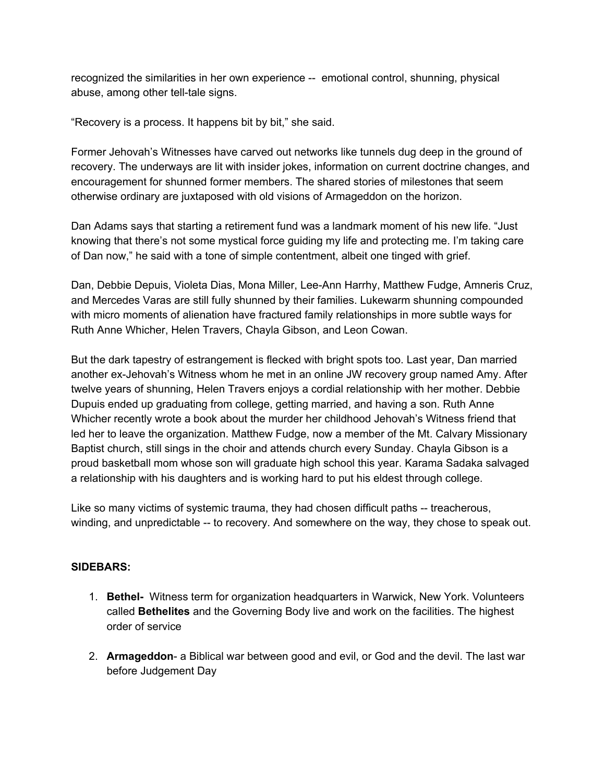recognized the similarities in her own experience -- emotional control, shunning, physical abuse, among other tell-tale signs.

"Recovery is a process. It happens bit by bit," she said.

Former Jehovah's Witnesses have carved out networks like tunnels dug deep in the ground of recovery. The underways are lit with insider jokes, information on current doctrine changes, and encouragement for shunned former members. The shared stories of milestones that seem otherwise ordinary are juxtaposed with old visions of Armageddon on the horizon.

Dan Adams says that starting a retirement fund was a landmark moment of his new life. "Just knowing that there's not some mystical force guiding my life and protecting me. I'm taking care of Dan now," he said with a tone of simple contentment, albeit one tinged with grief.

Dan, Debbie Depuis, Violeta Dias, Mona Miller, Lee-Ann Harrhy, Matthew Fudge, Amneris Cruz, and Mercedes Varas are still fully shunned by their families. Lukewarm shunning compounded with micro moments of alienation have fractured family relationships in more subtle ways for Ruth Anne Whicher, Helen Travers, Chayla Gibson, and Leon Cowan.

But the dark tapestry of estrangement is flecked with bright spots too. Last year, Dan married another ex-Jehovah's Witness whom he met in an online JW recovery group named Amy. After twelve years of shunning, Helen Travers enjoys a cordial relationship with her mother. Debbie Dupuis ended up graduating from college, getting married, and having a son. Ruth Anne Whicher recently wrote a book about the murder her childhood Jehovah's Witness friend that led her to leave the organization. Matthew Fudge, now a member of the Mt. Calvary Missionary Baptist church, still sings in the choir and attends church every Sunday. Chayla Gibson is a proud basketball mom whose son will graduate high school this year. Karama Sadaka salvaged a relationship with his daughters and is working hard to put his eldest through college.

Like so many victims of systemic trauma, they had chosen difficult paths -- treacherous, winding, and unpredictable -- to recovery. And somewhere on the way, they chose to speak out.

#### **SIDEBARS:**

- 1. **Bethel-** Witness term for organization headquarters in Warwick, New York. Volunteers called **Bethelites** and the Governing Body live and work on the facilities. The highest order of service
- 2. **Armageddon** a Biblical war between good and evil, or God and the devil. The last war before Judgement Day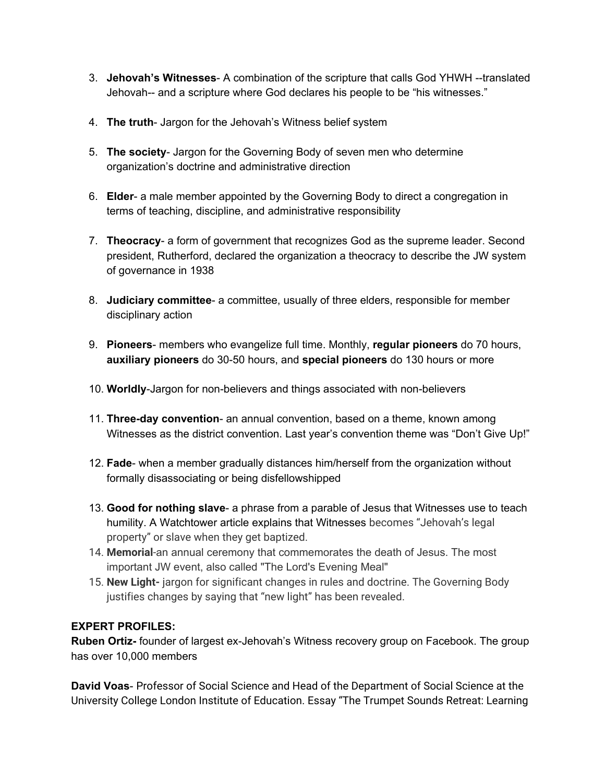- 3. **Jehovah's Witnesses** A combination of the scripture that calls God YHWH --translated Jehovah-- and a scripture where God declares his people to be "his witnesses."
- 4. **The truth** Jargon for the Jehovah's Witness belief system
- 5. **The society** Jargon for the Governing Body of seven men who determine organization's doctrine and administrative direction
- 6. **Elder** a male member appointed by the Governing Body to direct a congregation in terms of teaching, discipline, and administrative responsibility
- 7. **Theocracy** a form of government that recognizes God as the supreme leader. Second president, Rutherford, declared the organization a theocracy to describe the JW system of governance in 1938
- 8. **Judiciary committee** a committee, usually of three elders, responsible for member disciplinary action
- 9. **Pioneers** members who evangelize full time. Monthly, **regular pioneers** do 70 hours, **auxiliary pioneers** do 30-50 hours, and **special pioneers** do 130 hours or more
- 10. **Worldly**-Jargon for non-believers and things associated with non-believers
- 11. **Three-day convention** an annual convention, based on a theme, known among Witnesses as the district convention. Last year's convention theme was "Don't Give Up!"
- 12. **Fade** when a member gradually distances him/herself from the organization without formally disassociating or being disfellowshipped
- 13. **Good for nothing slave** a phrase from a parable of Jesus that Witnesses use to teach humility. A Watchtower article explains that Witnesses becomes "Jehovah's legal property" or slave when they get baptized.
- 14. **Memorial**-an annual ceremony that commemorates the death of Jesus. The most important JW event, also called "The Lord's Evening Meal"
- 15. **New Light-** jargon for significant changes in rules and doctrine. The Governing Body justifies changes by saying that "new light" has been revealed.

#### **EXPERT PROFILES:**

**Ruben Ortiz-** founder of largest ex-Jehovah's Witness recovery group on Facebook. The group has over 10,000 members

**David Voas**- Professor of Social Science and Head of the Department of Social Science at the University College London Institute of Education. Essay "The Trumpet Sounds Retreat: Learning